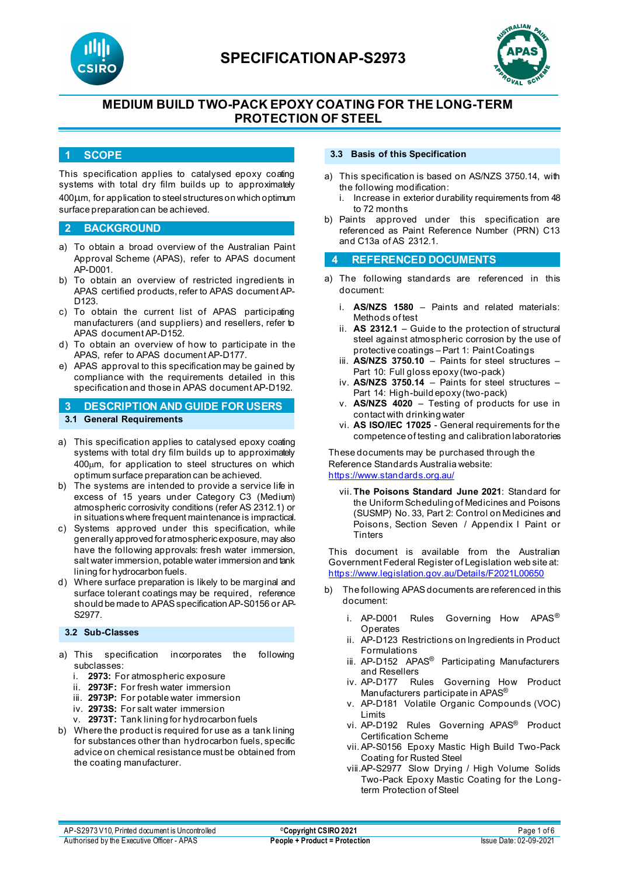



## **MEDIUM BUILD TWO-PACK EPOXY COATING FOR THE LONG-TERM PROTECTION OF STEEL**

#### **1 SCOPE**

This specification applies to catalysed epoxy coating systems with total dry film builds up to approximately 400µm, for application to steel structures on which optimum surface preparation can be achieved.

#### **2 BACKGROUND**

- a) To obtain a broad overview of the Australian Paint Approval Scheme (APAS), refer to APAS document AP-D001.
- b) To obtain an overview of restricted ingredients in APAS certified products, refer to APAS document AP-D<sub>123</sub>
- c) To obtain the current list of APAS participating manufacturers (and suppliers) and resellers, refer to APAS document AP-D152.
- d) To obtain an overview of how to participate in the APAS, refer to APAS document AP-D177.
- e) APAS approval to this specification may be gained by compliance with the requirements detailed in this specification and those in APAS document AP-D192.

### **3 DESCRIPTION AND GUIDE FOR USERS 3.1 General Requirements**

- a) This specification applies to catalysed epoxy coating systems with total dry film builds up to approximately 400µm, for application to steel structures on which optimum surface preparation can be achieved.
- b) The systems are intended to provide a service life in excess of 15 years under Category C3 (Medium) atmospheric corrosivity conditions (refer AS 2312.1) or in situations where frequent maintenance is impractical.
- c) Systems approved under this specification, while generally approved for atmospheric exposure, may also have the following approvals: fresh water immersion, salt water immersion, potable water immersion and tank lining for hydrocarbon fuels.
- d) Where surface preparation is likely to be marginal and surface tolerant coatings may be required, reference should be made to APAS specification AP-S0156 or AP-S2977.

#### **3.2 Sub-Classes**

- a) This specification incorporates the following subclasses:
	- i. **2973:** For atmospheric exposure
	- ii. **2973F:** For fresh water immersion
	- iii. **2973P:** For potable water immersion
	- iv. **2973S:** For salt water immersion
	- v. **2973T:** Tank lining for hydrocarbon fuels
- b) Where the product is required for use as a tank lining for substances other than hydrocarbon fuels, specific advice on chemical resistance must be obtained from the coating manufacturer.

#### **3.3 Basis of this Specification**

- a) This specification is based on AS/NZS 3750.14, with the following modification:
	- i. Increase in exterior durability requirements from 48 to 72 months
- b) Paints approved under this specification are referenced as Paint Reference Number (PRN) C13 and C13a of AS 2312.1.

#### **4 REFERENCED DOCUMENTS**

- a) The following standards are referenced in this document:
	- i. **AS/NZS 1580** Paints and related materials: Methods of test
	- ii. **AS 2312.1** Guide to the protection of structural steel against atmospheric corrosion by the use of protective coatings – Part 1: Paint Coatings
	- iii. **AS/NZS 3750.10** Paints for steel structures Part 10: Full gloss epoxy (two-pack)
	- iv. **AS/NZS 3750.14** Paints for steel structures Part 14: High-build epoxy (two-pack)
	- v. **AS/NZS 4020** Testing of products for use in contact with drinking water
	- vi. **AS ISO/IEC 17025**  General requirements for the competence of testing and calibration laboratories

These documents may be purchased through the Reference Standards Australia website: <https://www.standards.org.au/>

vii. **The Poisons Standard June 2021**: Standard for the Uniform Scheduling of Medicines and Poisons (SUSMP) No. 33, Part 2: Control on Medicines and Poisons, Section Seven / Appendix I Paint or **Tinters** 

This document is available from the Australian Government Federal Register of Legislation web site at: <https://www.legislation.gov.au/Details/F2021L00650>

- b) The following APAS documents are referenced in this document:
	- i. AP-D001 Rules Governing How APAS<sup>®</sup> Operates
	- ii. AP-D123 Restrictions on Ingredients in Product Formulations
	- iii. AP-D152 APAS<sup>®</sup> Participating Manufacturers and Resellers
	- iv. AP-D177 Rules Governing How Product Manufacturers participate in APAS®
	- v. AP-D181 Volatile Organic Compounds (VOC) Limits
	- vi. AP-D192 Rules Governing APAS® Product Certification Scheme
	- vii. AP-S0156 Epoxy Mastic High Build Two-Pack Coating for Rusted Steel
	- viii.AP-S2977 Slow Drying / High Volume Solids Two-Pack Epoxy Mastic Coating for the Longterm Protection of Steel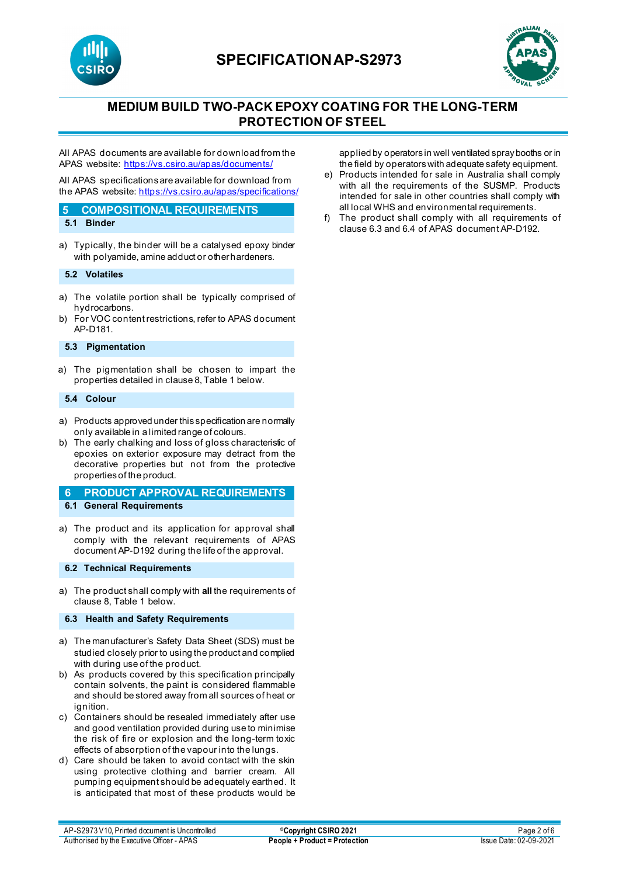



## **MEDIUM BUILD TWO-PACK EPOXY COATING FOR THE LONG-TERM PROTECTION OF STEEL**

All APAS documents are available for download from the APAS website: <https://vs.csiro.au/apas/documents/>

All APAS specificationsare available for download from the APAS website[: https://vs.csiro.au/apas/specifications/](https://vs.csiro.au/apas/specifications/)

#### **5 COMPOSITIONAL REQUIREMENTS**

- **5.1 Binder**
- a) Typically, the binder will be a catalysed epoxy binder with polyamide, amine adduct or other hardeners.

#### **5.2 Volatiles**

- a) The volatile portion shall be typically comprised of hydrocarbons.
- b) For VOC content restrictions, refer to APAS document AP-D181.

#### **5.3 Pigmentation**

a) The pigmentation shall be chosen to impart the properties detailed in clause 8, Table 1 below.

#### **5.4 Colour**

- a) Products approved under this specification are normally only available in a limited range of colours.
- b) The early chalking and loss of gloss characteristic of epoxies on exterior exposure may detract from the decorative properties but not from the protective properties of the product.

#### **6 PRODUCT APPROVAL REQUIREMENTS**

- **6.1 General Requirements**
- a) The product and its application for approval shall comply with the relevant requirements of APAS document AP-D192 during the life of the approval.

#### **6.2 Technical Requirements**

a) The product shall comply with **all** the requirements of clause 8, Table 1 below.

#### **6.3 Health and Safety Requirements**

- a) The manufacturer's Safety Data Sheet (SDS) must be studied closely prior to using the product and complied with during use of the product.
- b) As products covered by this specification principally contain solvents, the paint is considered flammable and should be stored away from all sources of heat or ignition.
- c) Containers should be resealed immediately after use and good ventilation provided during use to minimise the risk of fire or explosion and the long-term toxic effects of absorption of the vapour into the lungs.
- d) Care should be taken to avoid contact with the skin using protective clothing and barrier cream. All pumping equipment should be adequately earthed. It is anticipated that most of these products would be

applied by operators in well ventilated spray booths or in the field by operators with adequate safety equipment.

- e) Products intended for sale in Australia shall comply with all the requirements of the SUSMP. Products intended for sale in other countries shall comply with all local WHS and environmental requirements.
- f) The product shall comply with all requirements of clause 6.3 and 6.4 of APAS document AP-D192.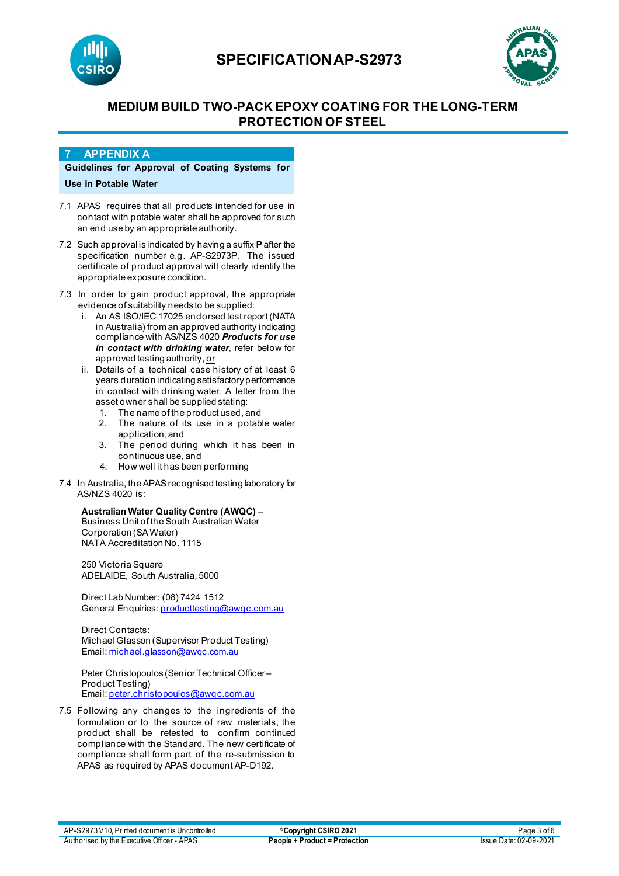



## **MEDIUM BUILD TWO-PACK EPOXY COATING FOR THE LONG-TERM PROTECTION OF STEEL**

#### **7 APPENDIX A**

**Guidelines for Approval of Coating Systems for Use in Potable Water**

- 7.1 APAS requires that all products intended for use in contact with potable water shall be approved for such an end use by an appropriate authority.
- 7.2 Such approval is indicated by having a suffix **P**after the specification number e.g. AP-S2973P. The issued certificate of product approval will clearly identify the appropriate exposure condition.
- 7.3 In order to gain product approval, the appropriate evidence of suitability needs to be supplied:
	- i. An AS ISO/IEC 17025 endorsed test report (NATA in Australia) from an approved authority indicating compliance with AS/NZS 4020 *Products for use in contact with drinking water*, refer below for approved testing authority, or
	- ii. Details of a technical case history of at least 6 years duration indicating satisfactory performance in contact with drinking water. A letter from the asset owner shall be supplied stating:
		- 1. The name of the product used, and
		- 2. The nature of its use in a potable water application, and
		- 3. The period during which it has been in continuous use, and
		- 4. How well it has been performing
- 7.4 In Australia, the APAS recognised testing laboratory for AS/NZS 4020 is:

#### **Australian Water Quality Centre (AWQC)** –

Business Unit of the South Australian Water Corporation (SA Water) NATA Accreditation No. 1115

250 Victoria Square ADELAIDE, South Australia, 5000

Direct Lab Number: (08) 7424 1512 General Enquiries[: producttesting@awqc.com.au](mailto:producttesting@awqc.com.au)

Direct Contacts: Michael Glasson (Supervisor Product Testing) Email[: michael.glasson@awqc.com.au](mailto:michael.glasson@awqc.com.au)

Peter Christopoulos (Senior Technical Officer – Product Testing) Email[: peter.christopoulos@awqc.com.au](mailto:peter.christopoulos@awqc.com.au) 

7.5 Following any changes to the ingredients of the formulation or to the source of raw materials, the product shall be retested to confirm continued compliance with the Standard. The new certificate of compliance shall form part of the re-submission to APAS as required by APAS document AP-D192.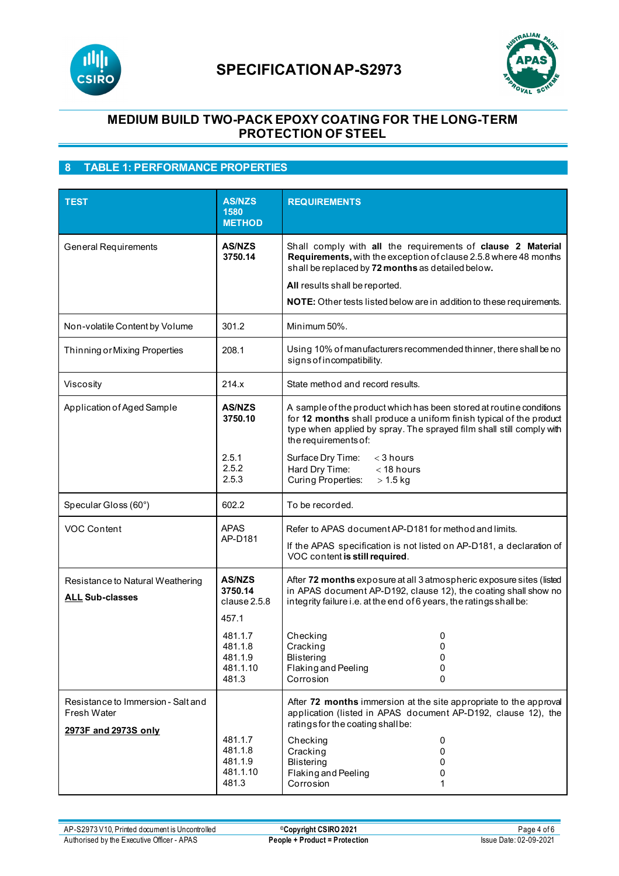



### **MEDIUM BUILD TWO-PACK EPOXY COATING FOR THE LONG-TERM PROTECTION OF STEEL**

### **8 TABLE 1: PERFORMANCE PROPERTIES**

| <b>TEST</b>                                                                      | <b>AS/NZS</b><br>1580<br><b>METHOD</b>             | <b>REQUIREMENTS</b>                                                                                                                                                                                                                                                                                    |
|----------------------------------------------------------------------------------|----------------------------------------------------|--------------------------------------------------------------------------------------------------------------------------------------------------------------------------------------------------------------------------------------------------------------------------------------------------------|
| <b>General Requirements</b>                                                      | <b>AS/NZS</b><br>3750.14                           | Shall comply with all the requirements of clause 2 Material<br>Requirements, with the exception of clause 2.5.8 where 48 months<br>shall be replaced by 72 months as detailed below.<br>All results shall be reported.<br><b>NOTE:</b> Other tests listed below are in addition to these requirements. |
| Non-volatile Content by Volume                                                   | 301.2                                              | Minimum 50%.                                                                                                                                                                                                                                                                                           |
| Thinning or Mixing Properties                                                    | 208.1                                              | Using 10% of manufacturers recommended thinner, there shall be no<br>signs of incompatibility.                                                                                                                                                                                                         |
| Viscosity                                                                        | 214.x                                              | State method and record results.                                                                                                                                                                                                                                                                       |
| Application of Aged Sample                                                       | <b>AS/NZS</b><br>3750.10<br>2.5.1                  | A sample of the product which has been stored at routine conditions<br>for 12 months shall produce a uniform finish typical of the product<br>type when applied by spray. The sprayed film shall still comply with<br>the requirements of:<br>Surface Dry Time:<br>$<$ 3 hours                         |
|                                                                                  | 2.5.2<br>2.5.3                                     | Hard Dry Time:<br>$<$ 18 hours<br><b>Curing Properties:</b><br>$> 1.5$ kg                                                                                                                                                                                                                              |
| Specular Gloss (60°)                                                             | 602.2                                              | To be recorded.                                                                                                                                                                                                                                                                                        |
| VOC Content                                                                      | <b>APAS</b><br>AP-D181                             | Refer to APAS document AP-D181 for method and limits.<br>If the APAS specification is not listed on AP-D181, a declaration of<br>VOC content is still required.                                                                                                                                        |
| Resistance to Natural Weathering<br><b>ALL Sub-classes</b>                       | <b>AS/NZS</b><br>3750.14<br>clause 2.5.8<br>457.1  | After 72 months exposure at all 3 atmospheric exposure sites (listed<br>in APAS document AP-D192, clause 12), the coating shall show no<br>integrity failure i.e. at the end of 6 years, the ratings shall be:                                                                                         |
|                                                                                  | 481.1.7<br>481.1.8<br>481.1.9<br>481.1.10<br>481.3 | Checking<br>0<br>0<br>Cracking<br>Blistering<br>0<br>Flaking and Peeling<br>0<br>Corrosion<br>0                                                                                                                                                                                                        |
| Resistance to Immersion - Salt and<br><b>Fresh Water</b><br>2973F and 2973S only | 481.1.7<br>481.1.8<br>481.1.9<br>481.1.10          | After 72 months immersion at the site appropriate to the approval<br>application (listed in APAS document AP-D192, clause 12), the<br>ratings for the coating shall be:<br>Checking<br>0<br>0<br>Cracking<br><b>Blistering</b><br>0<br>Flaking and Peeling<br>0                                        |
|                                                                                  | 481.3                                              | Corrosion<br>1                                                                                                                                                                                                                                                                                         |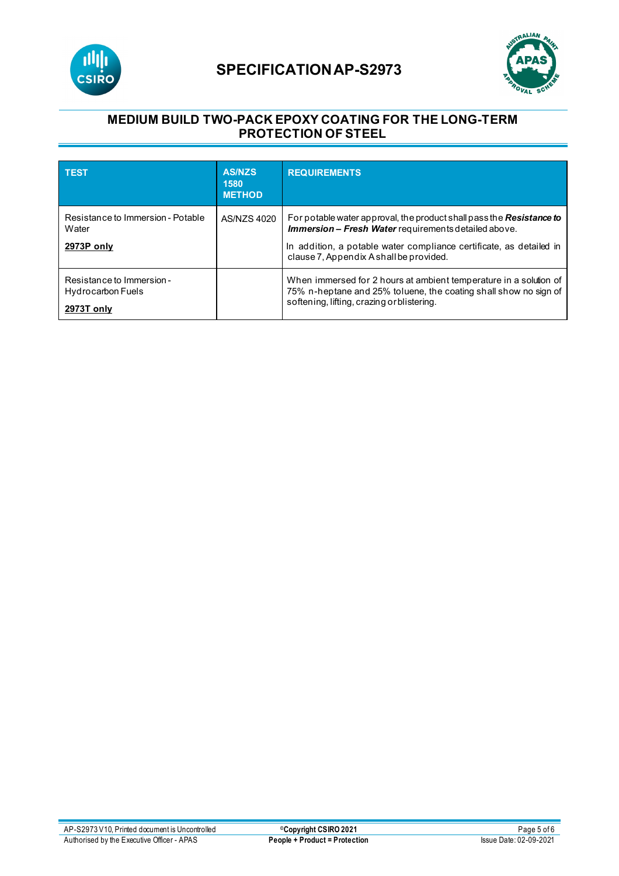



### **MEDIUM BUILD TWO-PACK EPOXY COATING FOR THE LONG-TERM PROTECTION OF STEEL**

| <b>TEST</b>                                                         | <b>AS/NZS</b><br>1580<br><b>METHOD</b> | <b>REQUIREMENTS</b>                                                                                                                                                                                                                                          |
|---------------------------------------------------------------------|----------------------------------------|--------------------------------------------------------------------------------------------------------------------------------------------------------------------------------------------------------------------------------------------------------------|
| Resistance to Immersion - Potable<br>Water<br>2973P only            | AS/NZS 4020                            | For potable water approval, the product shall pass the <b>Resistance to</b><br><b>Immersion - Fresh Water</b> requirements detailed above.<br>In addition, a potable water compliance certificate, as detailed in<br>clause 7, Appendix A shall be provided. |
| Resistance to Immersion -<br><b>Hydrocarbon Fuels</b><br>2973T only |                                        | When immersed for 2 hours at ambient temperature in a solution of<br>75% n-heptane and 25% toluene, the coating shall show no sign of<br>softening, lifting, crazing or blistering.                                                                          |